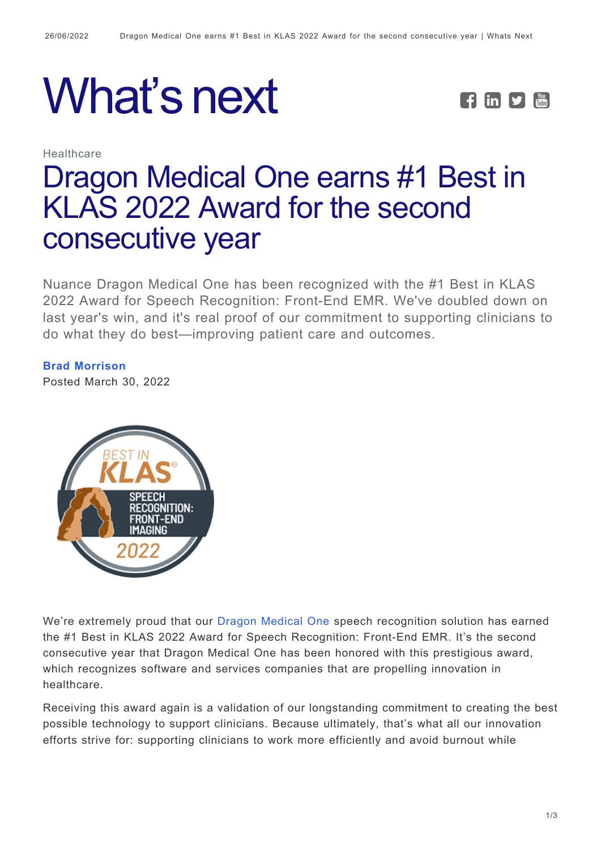



Healthcare

# [Dragon Medical One earns #1 Best in](https://whatsnext.nuance.com/healthcare/dragon-medical-speech-recognition-number-one-best-in-klas-again/) [KLAS 2022 Award for the second](https://whatsnext.nuance.com/healthcare/dragon-medical-speech-recognition-number-one-best-in-klas-again/) [consecutive year](https://whatsnext.nuance.com/healthcare/dragon-medical-speech-recognition-number-one-best-in-klas-again/)

Nuance Dragon Medical One has been recognized with the #1 Best in KLAS 2022 Award for Speech Recognition: Front-End EMR. We've doubled down on last year's win, and it's real proof of our commitment to supporting clinicians to do what they do best—improving patient care and outcomes.

**[Brad Morrison](https://whatsnext.nuance.com/author/bmorrison/)**

Posted March 30, 2022



We're extremely proud that our [Dragon Medical One](https://www.nuance.com/healthcare/provider-solutions/speech-recognition/dragon-medical-one.html) speech recognition solution has earned the #1 Best in KLAS 2022 Award for Speech Recognition: Front-End EMR. It's the second consecutive year that Dragon Medical One has been honored with this prestigious award, which recognizes software and services companies that are propelling innovation in healthcare.

Receiving this award again is a validation of our longstanding commitment to creating the best possible technology to support clinicians. Because ultimately, that's what all our innovation efforts strive for: supporting clinicians to work more efficiently and avoid burnout while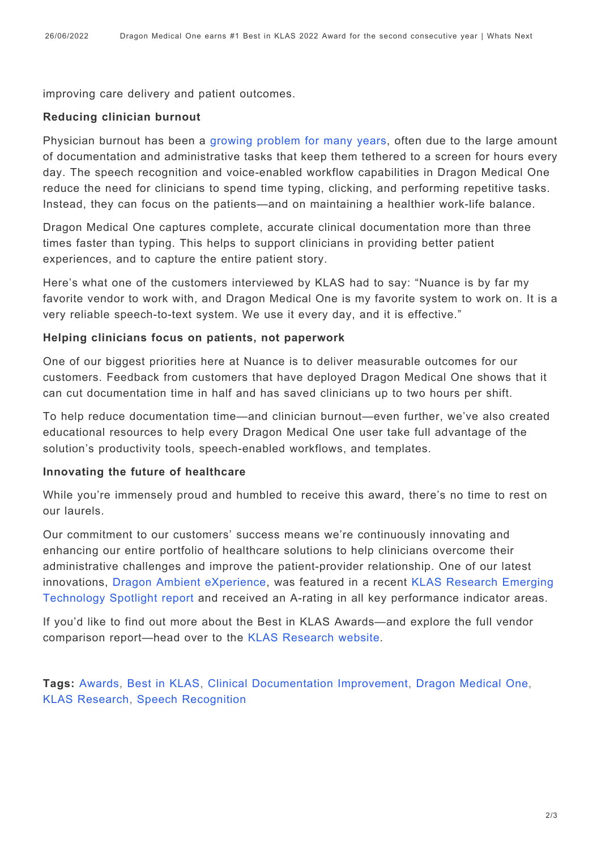improving care delivery and patient outcomes.

#### **Reducing clinician burnout**

Physician burnout has been a [growing problem for many years](https://whatsnext.nuance.com/healthcare/overload-to-burnout-himss/), often due to the large amount of documentation and administrative tasks that keep them tethered to a screen for hours every day. The speech recognition and voice-enabled workflow capabilities in Dragon Medical One reduce the need for clinicians to spend time typing, clicking, and performing repetitive tasks. Instead, they can focus on the patients—and on maintaining a healthier work-life balance.

Dragon Medical One captures complete, accurate clinical documentation more than three times faster than typing. This helps to support clinicians in providing better patient experiences, and to capture the entire patient story.

Here's what one of the customers interviewed by KLAS had to say: "Nuance is by far my favorite vendor to work with, and Dragon Medical One is my favorite system to work on. It is a very reliable speech-to-text system. We use it every day, and it is effective."

#### **Helping clinicians focus on patients, not paperwork**

One of our biggest priorities here at Nuance is to deliver measurable outcomes for our customers. Feedback from customers that have deployed Dragon Medical One shows that it can cut documentation time in half and has saved clinicians up to two hours per shift.

To help reduce documentation time—and clinician burnout—even further, we've also created educational resources to help every Dragon Medical One user take full advantage of the solution's productivity tools, speech-enabled workflows, and templates.

#### **Innovating the future of healthcare**

While you're immensely proud and humbled to receive this award, there's no time to rest on our laurels.

Our commitment to our customers' success means we're continuously innovating and enhancing our entire portfolio of healthcare solutions to help clinicians overcome their administrative challenges and improve the patient-provider relationship. One of our latest innovations, [Dragon Ambient eXperience,](https://www.nuance.com/healthcare/ambient-clinical-intelligence.html) was featured in a recent [KLAS Research Emerging](https://www.nuance.com/healthcare/campaign/report/klas-emerging-technology-spotlight-nuance-dax-2021.html) [Technology Spotlight report](https://www.nuance.com/healthcare/campaign/report/klas-emerging-technology-spotlight-nuance-dax-2021.html) and received an A-rating in all key performance indicator areas.

If you'd like to find out more about the Best in KLAS Awards—and explore the full vendor comparison report—head over to the [KLAS Research website](https://klasresearch.com/report/2022-best-in-klas-awards-software-and-professional-services/2770).

**Tags:** [Awards](https://whatsnext.nuance.com/tag/awards/), [Best in KLAS](https://whatsnext.nuance.com/tag/best-in-klas/), [Clinical Documentation Improvement,](https://whatsnext.nuance.com/tag/clinical-documentation-improvement/) [Dragon Medical One,](https://whatsnext.nuance.com/tag/dragon-medical-one-2/) [KLAS Research](https://whatsnext.nuance.com/tag/klas-research/), [Speech Recognition](https://whatsnext.nuance.com/tag/speech-recognition/)